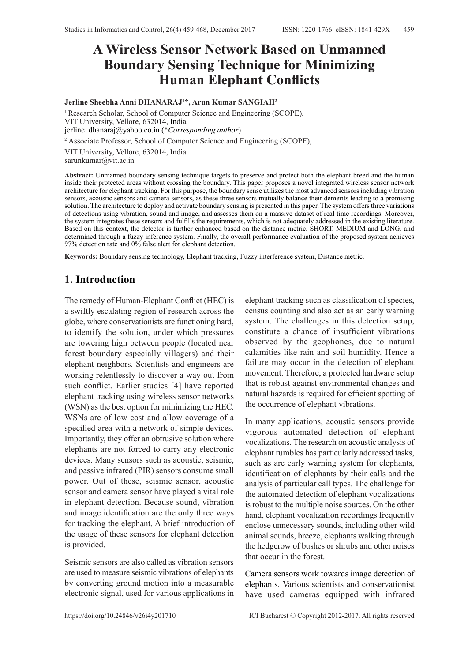# **A Wireless Sensor Network Based on Unmanned Boundary Sensing Technique for Minimizing Human Elephant Conflicts**

#### **Jerline Sheebha Anni DHANARAJ1 \*, Arun Kumar SANGIAH2**

<sup>1</sup> Research Scholar, School of Computer Science and Engineering (SCOPE), VIT University, Vellore, 632014, India jerline\_dhanaraj@yahoo.co.in (\**Corresponding author*)

2 Associate Professor, School of Computer Science and Engineering (SCOPE),

VIT University, Vellore, 632014, India sarunkumar@vit.ac.in

**Abstract:** Unmanned boundary sensing technique targets to preserve and protect both the elephant breed and the human inside their protected areas without crossing the boundary. This paper proposes a novel integrated wireless sensor network architecture for elephant tracking. For this purpose, the boundary sense utilizes the most advanced sensors including vibration sensors, acoustic sensors and camera sensors, as these three sensors mutually balance their demerits leading to a promising solution. The architecture to deploy and activate boundary sensing is presented in this paper. The system offers three variations of detections using vibration, sound and image, and assesses them on a massive dataset of real time recordings. Moreover, the system integrates these sensors and fulfills the requirements, which is not adequately addressed in the existing literature. Based on this context, the detector is further enhanced based on the distance metric, SHORT, MEDIUM and LONG, and determined through a fuzzy inference system. Finally, the overall performance evaluation of the proposed system achieves 97% detection rate and 0% false alert for elephant detection.

**Keywords:** Boundary sensing technology, Elephant tracking, Fuzzy interference system, Distance metric.

## **1. Introduction**

The remedy of Human-Elephant Conflict (HEC) is a swiftly escalating region of research across the globe, where conservationists are functioning hard, to identify the solution, under which pressures are towering high between people (located near forest boundary especially villagers) and their elephant neighbors. Scientists and engineers are working relentlessly to discover a way out from such conflict. Earlier studies [4] have reported elephant tracking using wireless sensor networks (WSN) as the best option for minimizing the HEC. WSNs are of low cost and allow coverage of a specified area with a network of simple devices. Importantly, they offer an obtrusive solution where elephants are not forced to carry any electronic devices. Many sensors such as acoustic, seismic, and passive infrared (PIR) sensors consume small power. Out of these, seismic sensor, acoustic sensor and camera sensor have played a vital role in elephant detection. Because sound, vibration and image identification are the only three ways for tracking the elephant. A brief introduction of the usage of these sensors for elephant detection is provided.

Seismic sensors are also called as vibration sensors are used to measure seismic vibrations of elephants by converting ground motion into a measurable electronic signal, used for various applications in

elephant tracking such as classification of species, census counting and also act as an early warning system. The challenges in this detection setup, constitute a chance of insufficient vibrations observed by the geophones, due to natural calamities like rain and soil humidity. Hence a failure may occur in the detection of elephant movement. Therefore, a protected hardware setup that is robust against environmental changes and natural hazards is required for efficient spotting of the occurrence of elephant vibrations.

In many applications, acoustic sensors provide vigorous automated detection of elephant vocalizations. The research on acoustic analysis of elephant rumbles has particularly addressed tasks, such as are early warning system for elephants, identification of elephants by their calls and the analysis of particular call types. The challenge for the automated detection of elephant vocalizations is robust to the multiple noise sources. On the other hand, elephant vocalization recordings frequently enclose unnecessary sounds, including other wild animal sounds, breeze, elephants walking through the hedgerow of bushes or shrubs and other noises that occur in the forest.

Camera sensors work towards image detection of elephants. Various scientists and conservationist have used cameras equipped with infrared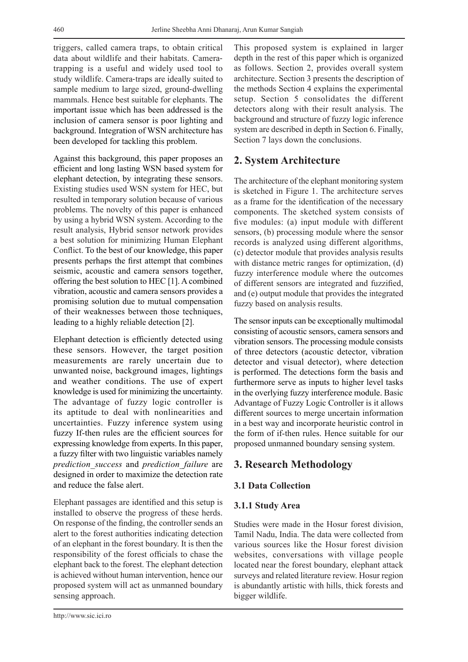triggers, called camera traps, to obtain critical data about wildlife and their habitats. Camera‐ trapping is a useful and widely used tool to study wildlife. Camera‐traps are ideally suited to sample medium to large sized, ground‐dwelling mammals. Hence best suitable for elephants. The important issue which has been addressed is the inclusion of camera sensor is poor lighting and background. Integration of WSN architecture has been developed for tackling this problem.

Against this background, this paper proposes an efficient and long lasting WSN based system for elephant detection, by integrating these sensors. Existing studies used WSN system for HEC, but resulted in temporary solution because of various problems. The novelty of this paper is enhanced by using a hybrid WSN system. According to the result analysis, Hybrid sensor network provides a best solution for minimizing Human Elephant Conflict. To the best of our knowledge, this paper presents perhaps the first attempt that combines seismic, acoustic and camera sensors together, offering the best solution to HEC [1]. A combined vibration, acoustic and camera sensors provides a promising solution due to mutual compensation of their weaknesses between those techniques, leading to a highly reliable detection [2].

Elephant detection is efficiently detected using these sensors. However, the target position measurements are rarely uncertain due to unwanted noise, background images, lightings and weather conditions. The use of expert knowledge is used for minimizing the uncertainty. The advantage of fuzzy logic controller is its aptitude to deal with nonlinearities and uncertainties. Fuzzy inference system using fuzzy If-then rules are the efficient sources for expressing knowledge from experts. In this paper, a fuzzy filter with two linguistic variables namely *prediction\_success* and *prediction\_failure* are designed in order to maximize the detection rate and reduce the false alert.

Elephant passages are identified and this setup is installed to observe the progress of these herds. On response of the finding, the controller sends an alert to the forest authorities indicating detection of an elephant in the forest boundary. It is then the responsibility of the forest officials to chase the elephant back to the forest. The elephant detection is achieved without human intervention, hence our proposed system will act as unmanned boundary sensing approach.

This proposed system is explained in larger depth in the rest of this paper which is organized as follows. Section 2, provides overall system architecture. Section 3 presents the description of the methods Section 4 explains the experimental setup. Section 5 consolidates the different detectors along with their result analysis. The background and structure of fuzzy logic inference system are described in depth in Section 6. Finally, Section 7 lays down the conclusions.

### **2. System Architecture**

The architecture of the elephant monitoring system is sketched in Figure 1. The architecture serves as a frame for the identification of the necessary components. The sketched system consists of five modules: (a) input module with different sensors, (b) processing module where the sensor records is analyzed using different algorithms, (c) detector module that provides analysis results with distance metric ranges for optimization, (d) fuzzy interference module where the outcomes of different sensors are integrated and fuzzified, and (e) output module that provides the integrated fuzzy based on analysis results.

The sensor inputs can be exceptionally multimodal consisting of acoustic sensors, camera sensors and vibration sensors. The processing module consists of three detectors (acoustic detector, vibration detector and visual detector), where detection is performed. The detections form the basis and furthermore serve as inputs to higher level tasks in the overlying fuzzy interference module. Basic Advantage of Fuzzy Logic Controller is it allows different sources to merge uncertain information in a best way and incorporate heuristic control in the form of if-then rules. Hence suitable for our proposed unmanned boundary sensing system.

## **3. Research Methodology**

### **3.1 Data Collection**

#### **3.1.1 Study Area**

Studies were made in the Hosur forest division, Tamil Nadu, India. The data were collected from various sources like the Hosur forest division websites, conversations with village people located near the forest boundary, elephant attack surveys and related literature review. Hosur region is abundantly artistic with hills, thick forests and bigger wildlife.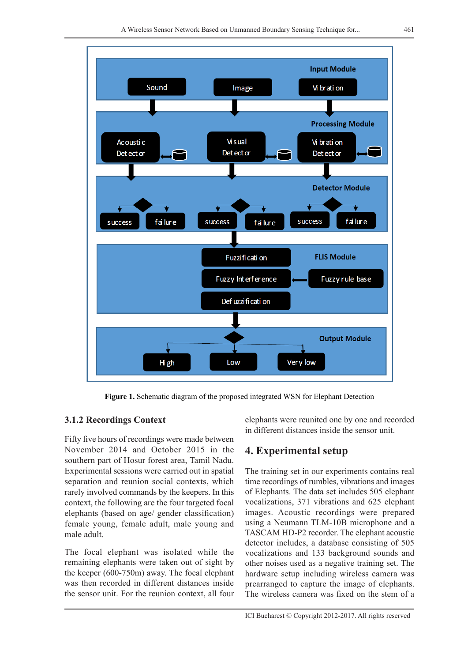

**Figure 1.** Schematic diagram of the proposed integrated WSN for Elephant Detection

## **3.1.2 Recordings Context**

Fifty five hours of recordings were made between November 2014 and October 2015 in the southern part of Hosur forest area, Tamil Nadu. Experimental sessions were carried out in spatial separation and reunion social contexts, which rarely involved commands by the keepers. In this context, the following are the four targeted focal elephants (based on age/ gender classification) female young, female adult, male young and male adult.

The focal elephant was isolated while the remaining elephants were taken out of sight by the keeper (600-750m) away. The focal elephant was then recorded in different distances inside the sensor unit. For the reunion context, all four elephants were reunited one by one and recorded in different distances inside the sensor unit.

## **4. Experimental setup**

The training set in our experiments contains real time recordings of rumbles, vibrations and images of Elephants. The data set includes 505 elephant vocalizations, 371 vibrations and 625 elephant images. Acoustic recordings were prepared using a Neumann TLM-10B microphone and a TASCAM HD-P2 recorder. The elephant acoustic detector includes, a database consisting of 505 vocalizations and 133 background sounds and other noises used as a negative training set. The hardware setup including wireless camera was prearranged to capture the image of elephants. The wireless camera was fixed on the stem of a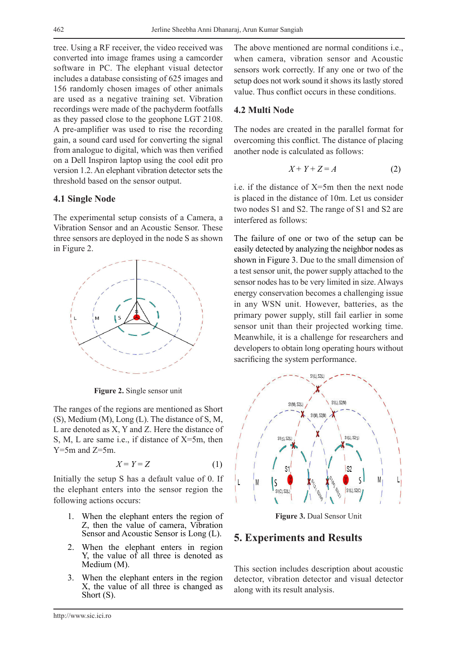tree. Using a RF receiver, the video received was converted into image frames using a camcorder software in PC. The elephant visual detector includes a database consisting of 625 images and 156 randomly chosen images of other animals are used as a negative training set. Vibration recordings were made of the pachyderm footfalls as they passed close to the geophone LGT 2108. A pre-amplifier was used to rise the recording gain, a sound card used for converting the signal from analogue to digital, which was then verified on a Dell Inspiron laptop using the cool edit pro version 1.2. An elephant vibration detector sets the threshold based on the sensor output.

#### **4.1 Single Node**

The experimental setup consists of a Camera, a Vibration Sensor and an Acoustic Sensor. These three sensors are deployed in the node S as shown in Figure 2.



**Figure 2.** Single sensor unit

The ranges of the regions are mentioned as Short (S), Medium (M), Long (L). The distance of S, M, L are denoted as X, Y and Z. Here the distance of S, M, L are same i.e., if distance of X=5m, then  $Y=5m$  and  $Z=5m$ .

$$
X = Y = Z \tag{1}
$$

Initially the setup S has a default value of 0. If the elephant enters into the sensor region the following actions occurs:

- 1. When the elephant enters the region of Z, then the value of camera, Vibration Sensor and Acoustic Sensor is Long (L).
- 2. When the elephant enters in region Y, the value of all three is denoted as Medium (M).
- 3. When the elephant enters in the region X, the value of all three is changed as Short (S).

The above mentioned are normal conditions i.e., when camera, vibration sensor and Acoustic sensors work correctly. If any one or two of the setup does not work sound it shows its lastly stored value. Thus conflict occurs in these conditions.

#### **4.2 Multi Node**

The nodes are created in the parallel format for overcoming this conflict. The distance of placing another node is calculated as follows:

$$
X + Y + Z = A \tag{2}
$$

i.e. if the distance of  $X=5m$  then the next node is placed in the distance of 10m. Let us consider two nodes S1 and S2. The range of S1 and S2 are interfered as follows:

The failure of one or two of the setup can be easily detected by analyzing the neighbor nodes as shown in Figure 3. Due to the small dimension of a test sensor unit, the power supply attached to the sensor nodes has to be very limited in size. Always energy conservation becomes a challenging issue in any WSN unit. However, batteries, as the primary power supply, still fail earlier in some sensor unit than their projected working time. Meanwhile, it is a challenge for researchers and developers to obtain long operating hours without sacrificing the system performance.



**Figure 3.** Dual Sensor Unit

### **5. Experiments and Results**

This section includes description about acoustic detector, vibration detector and visual detector along with its result analysis.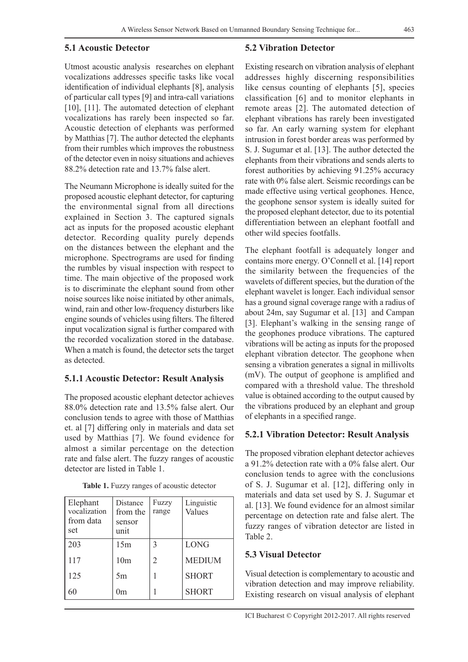#### **5.1 Acoustic Detector**

Utmost acoustic analysis researches on elephant vocalizations addresses specific tasks like vocal identification of individual elephants [8], analysis of particular call types [9] and intra-call variations [10], [11]. The automated detection of elephant vocalizations has rarely been inspected so far. Acoustic detection of elephants was performed by Matthias [7]. The author detected the elephants from their rumbles which improves the robustness of the detector even in noisy situations and achieves 88.2% detection rate and 13.7% false alert.

The Neumann Microphone is ideally suited for the proposed acoustic elephant detector, for capturing the environmental signal from all directions explained in Section 3. The captured signals act as inputs for the proposed acoustic elephant detector. Recording quality purely depends on the distances between the elephant and the microphone. Spectrograms are used for finding the rumbles by visual inspection with respect to time. The main objective of the proposed work is to discriminate the elephant sound from other noise sources like noise initiated by other animals, wind, rain and other low-frequency disturbers like engine sounds of vehicles using filters. The filtered input vocalization signal is further compared with the recorded vocalization stored in the database. When a match is found, the detector sets the target as detected.

#### **5.1.1 Acoustic Detector: Result Analysis**

The proposed acoustic elephant detector achieves 88.0% detection rate and 13.5% false alert. Our conclusion tends to agree with those of Matthias et. al [7] differing only in materials and data set used by Matthias [7]. We found evidence for almost a similar percentage on the detection rate and false alert. The fuzzy ranges of acoustic detector are listed in Table 1.

| Elephant<br>vocalization<br>from data<br>set | Distance<br>from the<br>sensor<br>unit | Fuzzy<br>range | Linguistic<br>Values |
|----------------------------------------------|----------------------------------------|----------------|----------------------|
| 203                                          | 15m                                    | 3              | <b>LONG</b>          |
| 117                                          | 10 <sub>m</sub>                        | 2              | <b>MEDIUM</b>        |
| 125                                          | 5m                                     |                | <b>SHORT</b>         |
| 60                                           | 0m                                     |                | <b>SHORT</b>         |

**Table 1.** Fuzzy ranges of acoustic detector

#### **5.2 Vibration Detector**

Existing research on vibration analysis of elephant addresses highly discerning responsibilities like census counting of elephants [5], species classification [6] and to monitor elephants in remote areas [2]. The automated detection of elephant vibrations has rarely been investigated so far. An early warning system for elephant intrusion in forest border areas was performed by S. J. Sugumar et al. [13]. The author detected the elephants from their vibrations and sends alerts to forest authorities by achieving 91.25% accuracy rate with 0% false alert. Seismic recordings can be made effective using vertical geophones. Hence, the geophone sensor system is ideally suited for the proposed elephant detector, due to its potential differentiation between an elephant footfall and other wild species footfalls.

The elephant footfall is adequately longer and contains more energy. O'Connell et al. [14] report the similarity between the frequencies of the wavelets of different species, but the duration of the elephant wavelet is longer. Each individual sensor has a ground signal coverage range with a radius of about 24m, say Sugumar et al. [13] and Campan [3]. Elephant's walking in the sensing range of the geophones produce vibrations. The captured vibrations will be acting as inputs for the proposed elephant vibration detector. The geophone when sensing a vibration generates a signal in millivolts (mV). The output of geophone is amplified and compared with a threshold value. The threshold value is obtained according to the output caused by the vibrations produced by an elephant and group of elephants in a specified range.

#### **5.2.1 Vibration Detector: Result Analysis**

The proposed vibration elephant detector achieves a 91.2% detection rate with a 0% false alert. Our conclusion tends to agree with the conclusions of S. J. Sugumar et al. [12], differing only in materials and data set used by S. J. Sugumar et al. [13]. We found evidence for an almost similar percentage on detection rate and false alert. The fuzzy ranges of vibration detector are listed in Table 2.

#### **5.3 Visual Detector**

Visual detection is complementary to acoustic and vibration detection and may improve reliability. Existing research on visual analysis of elephant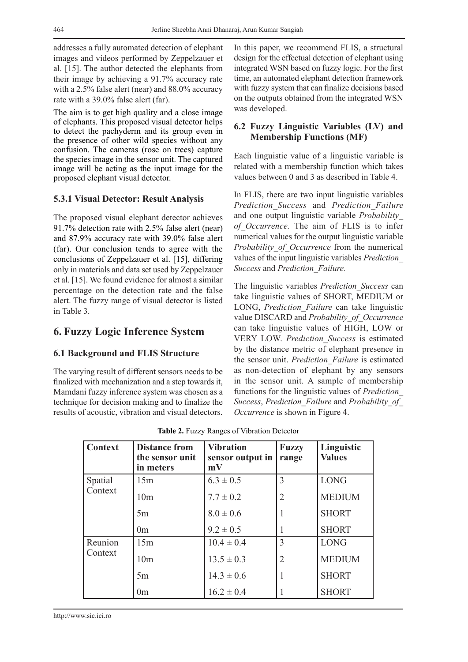addresses a fully automated detection of elephant images and videos performed by Zeppelzauer et al. [15]. The author detected the elephants from their image by achieving a 91.7% accuracy rate with a 2.5% false alert (near) and 88.0% accuracy rate with a 39.0% false alert (far).

The aim is to get high quality and a close image of elephants. This proposed visual detector helps to detect the pachyderm and its group even in the presence of other wild species without any confusion. The cameras (rose on trees) capture the species image in the sensor unit. The captured image will be acting as the input image for the proposed elephant visual detector.

#### **5.3.1 Visual Detector: Result Analysis**

The proposed visual elephant detector achieves 91.7% detection rate with 2.5% false alert (near) and 87.9% accuracy rate with 39.0% false alert (far). Our conclusion tends to agree with the conclusions of Zeppelzauer et al. [15], differing only in materials and data set used by Zeppelzauer et al. [15]. We found evidence for almost a similar percentage on the detection rate and the false alert. The fuzzy range of visual detector is listed in Table 3.

### **6. Fuzzy Logic Inference System**

#### **6.1 Background and FLIS Structure**

The varying result of different sensors needs to be finalized with mechanization and a step towards it, Mamdani fuzzy inference system was chosen as a technique for decision making and to finalize the results of acoustic, vibration and visual detectors.

In this paper, we recommend FLIS, a structural design for the effectual detection of elephant using integrated WSN based on fuzzy logic. For the first time, an automated elephant detection framework with fuzzy system that can finalize decisions based on the outputs obtained from the integrated WSN was developed.

#### **6.2 Fuzzy Linguistic Variables (LV) and Membership Functions (MF)**

Each linguistic value of a linguistic variable is related with a membership function which takes values between 0 and 3 as described in Table 4.

In FLIS, there are two input linguistic variables *Prediction\_Success* and *Prediction\_Failure*  and one output linguistic variable *Probability\_ of\_Occurrence.* The aim of FLIS is to infer numerical values for the output linguistic variable *Probability\_of\_Occurrence* from the numerical values of the input linguistic variables *Prediction\_ Success* and *Prediction\_Failure.*

The linguistic variables *Prediction\_Success* can take linguistic values of SHORT, MEDIUM or LONG, *Prediction\_Failure* can take linguistic value DISCARD and *Probability\_of\_Occurrence* can take linguistic values of HIGH, LOW or VERY LOW. *Prediction\_Success* is estimated by the distance metric of elephant presence in the sensor unit. *Prediction\_Failure* is estimated as non-detection of elephant by any sensors in the sensor unit. A sample of membership functions for the linguistic values of *Prediction\_ Success*, *Prediction\_Failure* and *Probability\_of\_ Occurrence* is shown in Figure 4.

| <b>Context</b> | <b>Distance from</b><br>the sensor unit<br>in meters | <b>Vibration</b><br>sensor output in<br>mV | <b>Fuzzy</b><br>range    | Linguistic<br><b>Values</b> |
|----------------|------------------------------------------------------|--------------------------------------------|--------------------------|-----------------------------|
| Spatial        | 15m                                                  | $6.3 \pm 0.5$                              | 3                        | <b>LONG</b>                 |
| Context        | 10 <sub>m</sub>                                      | $7.7 \pm 0.2$                              | $\overline{2}$           | <b>MEDIUM</b>               |
|                | 5m                                                   | $8.0 \pm 0.6$                              | 1                        | <b>SHORT</b>                |
|                | 0 <sub>m</sub>                                       | $9.2 \pm 0.5$                              |                          | <b>SHORT</b>                |
| Reunion        | 15m                                                  | $10.4 \pm 0.4$                             | $\overline{\mathcal{E}}$ | <b>LONG</b>                 |
| Context        | 10 <sub>m</sub>                                      | $13.5 \pm 0.3$                             | $\overline{2}$           | <b>MEDIUM</b>               |
|                | 5m                                                   | $14.3 \pm 0.6$                             | 1                        | <b>SHORT</b>                |
|                | 0 <sub>m</sub>                                       | $16.2 \pm 0.4$                             |                          | <b>SHORT</b>                |

**Table 2.** Fuzzy Ranges of Vibration Detector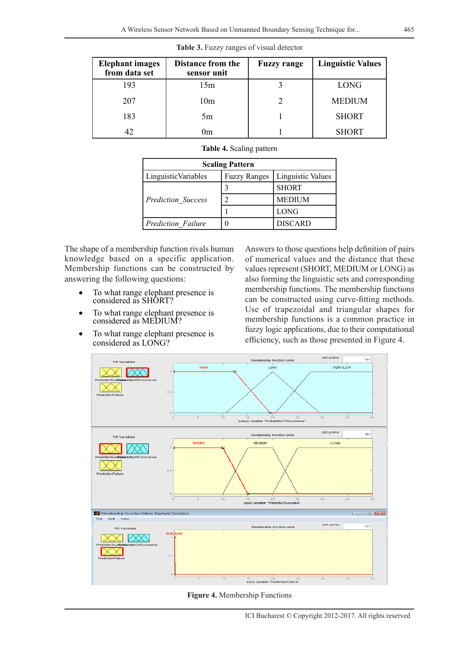| <b>Elephant</b> images<br>from data set | <b>Distance from the</b><br>sensor unit | <b>Fuzzy range</b> | <b>Linguistic Values</b> |
|-----------------------------------------|-----------------------------------------|--------------------|--------------------------|
| 193                                     | 15m                                     |                    | <b>LONG</b>              |
| 207                                     | 10 <sub>m</sub>                         |                    | <b>MEDIUM</b>            |
| 183                                     | 5m                                      |                    | <b>SHORT</b>             |
|                                         | 0m                                      |                    | <b>SHORT</b>             |

**Table 3.** Fuzzy ranges of visual detector

| Table 4. Scaling pattern |  |  |  |
|--------------------------|--|--|--|
|--------------------------|--|--|--|

| <b>Scaling Pattern</b>    |                     |                   |  |  |
|---------------------------|---------------------|-------------------|--|--|
| Linguistic Variables      | <b>Fuzzy Ranges</b> | Linguistic Values |  |  |
|                           |                     | <b>SHORT</b>      |  |  |
| <b>Prediction Success</b> |                     | <b>MEDIUM</b>     |  |  |
|                           |                     | <b>LONG</b>       |  |  |
| Prediction Failure        |                     | <b>DISCARD</b>    |  |  |

The shape of a membership function rivals human knowledge based on a specific application. Membership functions can be constructed by answering the following questions:

- To what range elephant presence is considered as SHORT?
- To what range elephant presence is considered as MEDIUM?
- To what range elephant presence is considered as LONG?

Answers to those questions help definition of pairs of numerical values and the distance that these values represent (SHORT, MEDIUM or LONG) as also forming the linguistic sets and corresponding membership functions. The membership functions can be constructed using curve-fitting methods. Use of trapezoidal and triangular shapes for membership functions is a common practice in fuzzy logic applications, due to their computational efficiency, such as those presented in Figure 4.



**Figure 4.** Membership Functions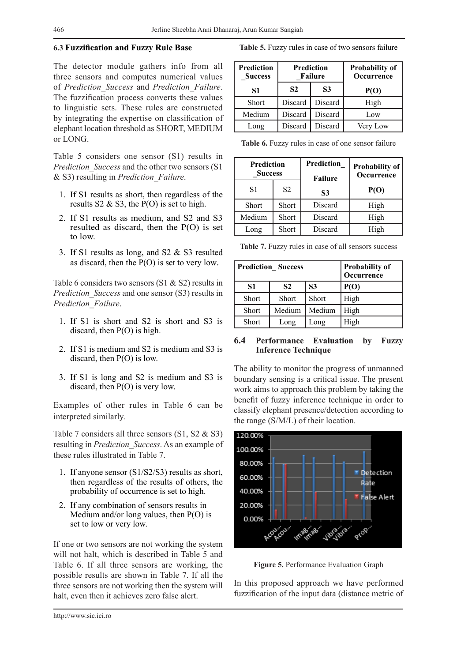#### **6.3 Fuzzification and Fuzzy Rule Base**

The detector module gathers info from all three sensors and computes numerical values of *Prediction\_Success* and *Prediction\_Failure*. The fuzzification process converts these values to linguistic sets. These rules are constructed by integrating the expertise on classification of elephant location threshold as SHORT, MEDIUM or LONG.

Table 5 considers one sensor (S1) results in *Prediction\_Success* and the other two sensors (S1 & S3) resulting in *Prediction\_Failure*.

- 1. If S1 results as short, then regardless of the results  $S2 \& S3$ , the P(O) is set to high.
- 2. If S1 results as medium, and S2 and S3 resulted as discard, then the P(O) is set to low.
- 3. If S1 results as long, and S2 & S3 resulted as discard, then the P(O) is set to very low.

Table 6 considers two sensors (S1 & S2) results in *Prediction Success* and one sensor (S3) results in *Prediction\_Failure*.

- 1. If S1 is short and S2 is short and S3 is discard, then P(O) is high.
- 2. If S1 is medium and S2 is medium and S3 is discard, then P(O) is low.
- 3. If S1 is long and S2 is medium and S3 is discard, then P(O) is very low.

Examples of other rules in Table 6 can be interpreted similarly.

Table 7 considers all three sensors  $(S1, S2 \& S3)$ resulting in *Prediction\_Success*. As an example of these rules illustrated in Table 7.

- 1. If anyone sensor (S1/S2/S3) results as short, then regardless of the results of others, the probability of occurrence is set to high.
- 2. If any combination of sensors results in Medium and/or long values, then P(O) is set to low or very low.

If one or two sensors are not working the system will not halt, which is described in Table 5 and Table 6. If all three sensors are working, the possible results are shown in Table 7. If all the three sensors are not working then the system will halt, even then it achieves zero false alert.

**Table 5.** Fuzzy rules in case of two sensors failure

| <b>Prediction</b><br><b>Success</b> | Prediction<br><b>Failure</b> |         | Probability of<br><b>Occurrence</b> |
|-------------------------------------|------------------------------|---------|-------------------------------------|
| S1                                  | S <sub>2</sub><br>S3         |         | P(O)                                |
| Short                               | Discard                      | Discard | High                                |
| Medium                              | Discard                      | Discard | Low                                 |
| Long                                | Discard                      | Discard | Very Low                            |

Table 6. Fuzzy rules in case of one sensor failure

| <b>Prediction</b><br><b>Success</b> |                | Prediction<br><b>Failure</b> | Probability of<br>Occurrence |  |
|-------------------------------------|----------------|------------------------------|------------------------------|--|
| S1                                  | S <sub>2</sub> | S3                           | P(O)                         |  |
| <b>Short</b>                        | Short          | Discard                      | High                         |  |
| Medium                              | Short          | Discard                      | High                         |  |
| Long                                | Short          | Discard                      | High                         |  |

| Table 7. Fuzzy rules in case of all sensors success |  |  |  |  |  |  |  |  |
|-----------------------------------------------------|--|--|--|--|--|--|--|--|
|-----------------------------------------------------|--|--|--|--|--|--|--|--|

| <b>Prediction Success</b> |                |                | Probability of<br>Occurrence |
|---------------------------|----------------|----------------|------------------------------|
| S <sub>1</sub>            | S <sub>2</sub> | S <sub>3</sub> | P(O)                         |
| <b>Short</b>              | <b>Short</b>   | <b>Short</b>   | High                         |
| <b>Short</b>              | Medium         | Medium         | High                         |
| <b>Short</b>              | Long           | Long           | High                         |

#### **6.4 Performance Evaluation by Fuzzy Inference Technique**

The ability to monitor the progress of unmanned boundary sensing is a critical issue. The present work aims to approach this problem by taking the benefit of fuzzy inference technique in order to classify elephant presence/detection according to the range (S/M/L) of their location.



**Figure 5.** Performance Evaluation Graph

In this proposed approach we have performed fuzzification of the input data (distance metric of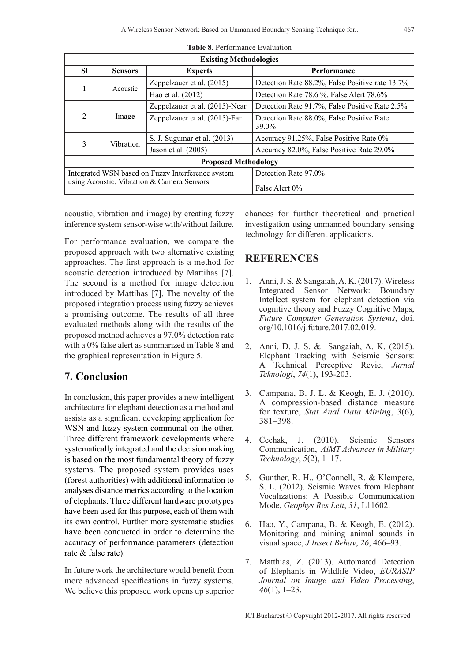| <b>Table 8. Performance Evaluation</b> |                                         |                                                   |                                                    |  |  |
|----------------------------------------|-----------------------------------------|---------------------------------------------------|----------------------------------------------------|--|--|
| <b>Existing Methodologies</b>          |                                         |                                                   |                                                    |  |  |
| <b>SI</b>                              | <b>Sensors</b>                          | <b>Experts</b>                                    | Performance                                        |  |  |
|                                        | Acoustic                                | Zeppelzauer et al. (2015)                         | Detection Rate 88.2%, False Positive rate 13.7%    |  |  |
| 1                                      |                                         | Hao et al. (2012)                                 | Detection Rate 78.6 %, False Alert 78.6%           |  |  |
|                                        |                                         | Zeppelzauer et al. (2015)-Near                    | Detection Rate 91.7%, False Positive Rate 2.5%     |  |  |
| $\overline{2}$                         | Image                                   | Zeppelzauer et al. (2015)-Far                     | Detection Rate 88.0%, False Positive Rate<br>39.0% |  |  |
| 3                                      |                                         | S. J. Sugumar et al. (2013)                       | Accuracy 91.25%, False Positive Rate 0%            |  |  |
|                                        | <b>Vibration</b><br>Jason et al. (2005) |                                                   | Accuracy 82.0%, False Positive Rate 29.0%          |  |  |
| <b>Proposed Methodology</b>            |                                         |                                                   |                                                    |  |  |
|                                        |                                         | Integrated WSN based on Fuzzy Interference system | Detection Rate 97.0%                               |  |  |
|                                        |                                         | using Acoustic, Vibration & Camera Sensors        | False Alert 0%                                     |  |  |

acoustic, vibration and image) by creating fuzzy inference system sensor-wise with/without failure.

For performance evaluation, we compare the proposed approach with two alternative existing approaches. The first approach is a method for acoustic detection introduced by Mattihas [7]. The second is a method for image detection introduced by Mattihas [7]. The novelty of the proposed integration process using fuzzy achieves a promising outcome. The results of all three evaluated methods along with the results of the proposed method achieves a 97.0% detection rate with a 0% false alert as summarized in Table 8 and the graphical representation in Figure 5.

## **7. Conclusion**

In conclusion, this paper provides a new intelligent architecture for elephant detection as a method and assists as a significant developing application for WSN and fuzzy system communal on the other. Three different framework developments where systematically integrated and the decision making is based on the most fundamental theory of fuzzy systems. The proposed system provides uses (forest authorities) with additional information to analyses distance metrics according to the location of elephants. Three different hardware prototypes have been used for this purpose, each of them with its own control. Further more systematic studies have been conducted in order to determine the accuracy of performance parameters (detection rate & false rate).

In future work the architecture would benefit from more advanced specifications in fuzzy systems. We believe this proposed work opens up superior chances for further theoretical and practical investigation using unmanned boundary sensing technology for different applications.

## **REFERENCES**

- 1. Anni, J. S. & Sangaiah, A. K. (2017). Wireless Integrated Sensor Network: Boundary Intellect system for elephant detection via cognitive theory and Fuzzy Cognitive Maps, *Future Computer Generation Systems*, doi. org/10.1016/j.future.2017.02.019.
- 2. Anni, D. J. S. & Sangaiah, A. K. (2015). Elephant Tracking with Seismic Sensors: A Technical Perceptive Revie, *Jurnal Teknologi*, *74*(1), 193-203.
- 3. Campana, B. J. L. & Keogh, E. J. (2010). A compression-based distance measure for texture, *Stat Anal Data Mining*, *3*(6), 381–398.
- 4. Cechak, J. (2010). Seismic Sensors Communication, *AiMT Advances in Military Technology*, *5*(2), 1–17.
- 5. Gunther, R. H., O'Connell, R. & Klempere, S. L. (2012). Seismic Waves from Elephant Vocalizations: A Possible Communication Mode, *Geophys Res Lett*, *31*, L11602.
- 6. Hao, Y., Campana, B. & Keogh, E. (2012). Monitoring and mining animal sounds in visual space, *J Insect Behav*, *26*, 466–93.
- 7. Matthias, Z. (2013). Automated Detection of Elephants in Wildlife Video, *EURASIP Journal on Image and Video Processing*, *46*(1), 1–23.